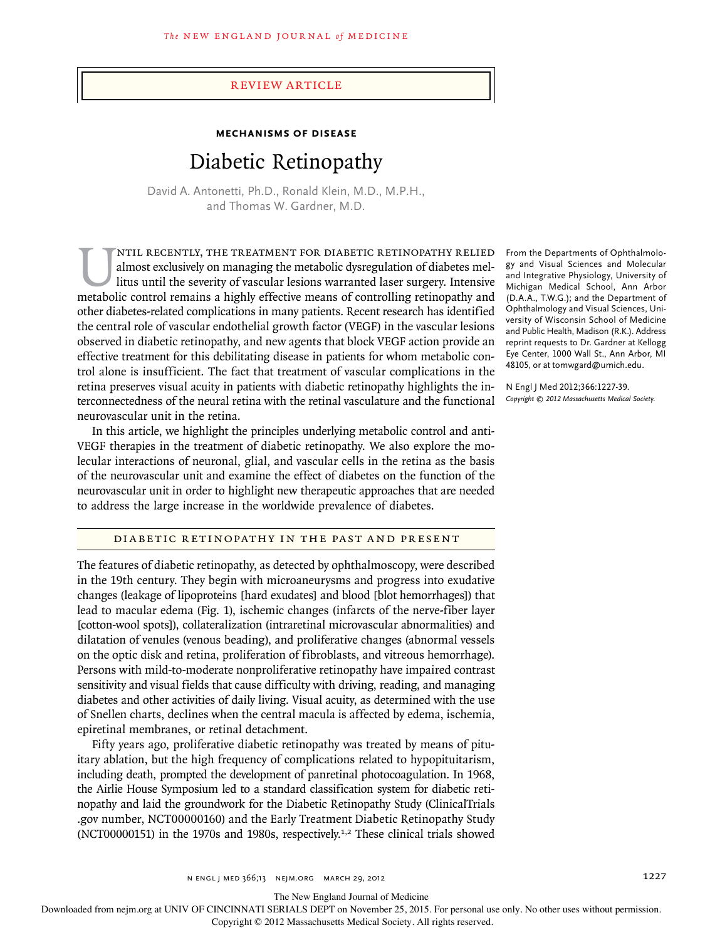## Review article

# **Mechanisms of Disease**

# Diabetic Retinopathy

David A. Antonetti, Ph.D., Ronald Klein, M.D., M.P.H., and Thomas W. Gardner, M.D.

NTIL RECENTLY, THE TREATMENT FOR DIABETIC RETINOPATHY RELIED<br>almost exclusively on managing the metabolic dysregulation of diabetes mel-<br>litus until the severity of vascular lesions warranted laser surgery. Intensive<br>metab almost exclusively on managing the metabolic dysregulation of diabetes mellitus until the severity of vascular lesions warranted laser surgery. Intensive metabolic control remains a highly effective means of controlling retinopathy and other diabetes-related complications in many patients. Recent research has identified the central role of vascular endothelial growth factor (VEGF) in the vascular lesions observed in diabetic retinopathy, and new agents that block VEGF action provide an effective treatment for this debilitating disease in patients for whom metabolic control alone is insufficient. The fact that treatment of vascular complications in the retina preserves visual acuity in patients with diabetic retinopathy highlights the interconnectedness of the neural retina with the retinal vasculature and the functional neurovascular unit in the retina.

In this article, we highlight the principles underlying metabolic control and anti-VEGF therapies in the treatment of diabetic retinopathy. We also explore the molecular interactions of neuronal, glial, and vascular cells in the retina as the basis of the neurovascular unit and examine the effect of diabetes on the function of the neurovascular unit in order to highlight new therapeutic approaches that are needed to address the large increase in the worldwide prevalence of diabetes.

DIABETIC RETINOPATHY IN THE PAST AND PRESENT

The features of diabetic retinopathy, as detected by ophthalmoscopy, were described in the 19th century. They begin with microaneurysms and progress into exudative changes (leakage of lipoproteins [hard exudates] and blood [blot hemorrhages]) that lead to macular edema (Fig. 1), ischemic changes (infarcts of the nerve-fiber layer [cotton-wool spots]), collateralization (intraretinal microvascular abnormalities) and dilatation of venules (venous beading), and proliferative changes (abnormal vessels on the optic disk and retina, proliferation of fibroblasts, and vitreous hemorrhage). Persons with mild-to-moderate nonproliferative retinopathy have impaired contrast sensitivity and visual fields that cause difficulty with driving, reading, and managing diabetes and other activities of daily living. Visual acuity, as determined with the use of Snellen charts, declines when the central macula is affected by edema, ischemia, epiretinal membranes, or retinal detachment.

Fifty years ago, proliferative diabetic retinopathy was treated by means of pituitary ablation, but the high frequency of complications related to hypopituitarism, including death, prompted the development of panretinal photocoagulation. In 1968, the Airlie House Symposium led to a standard classification system for diabetic retinopathy and laid the groundwork for the Diabetic Retinopathy Study (ClinicalTrials .gov number, NCT00000160) and the Early Treatment Diabetic Retinopathy Study (NCT00000151) in the 1970s and 1980s, respectively.1,2 These clinical trials showed

From the Departments of Ophthalmology and Visual Sciences and Molecular and Integrative Physiology, University of Michigan Medical School, Ann Arbor (D.A.A., T.W.G.); and the Department of Ophthalmology and Visual Sciences, University of Wisconsin School of Medicine and Public Health, Madison (R.K.). Address reprint requests to Dr. Gardner at Kellogg Eye Center, 1000 Wall St., Ann Arbor, MI 48105, or at tomwgard@umich.edu.

N Engl J Med 2012;366:1227-39. *Copyright © 2012 Massachusetts Medical Society.*

n ENGL JMED 366;13 NEJM.ORG MARCH 29, 2012 1207 1227

The New England Journal of Medicine

Downloaded from nejm.org at UNIV OF CINCINNATI SERIALS DEPT on November 25, 2015. For personal use only. No other uses without permission.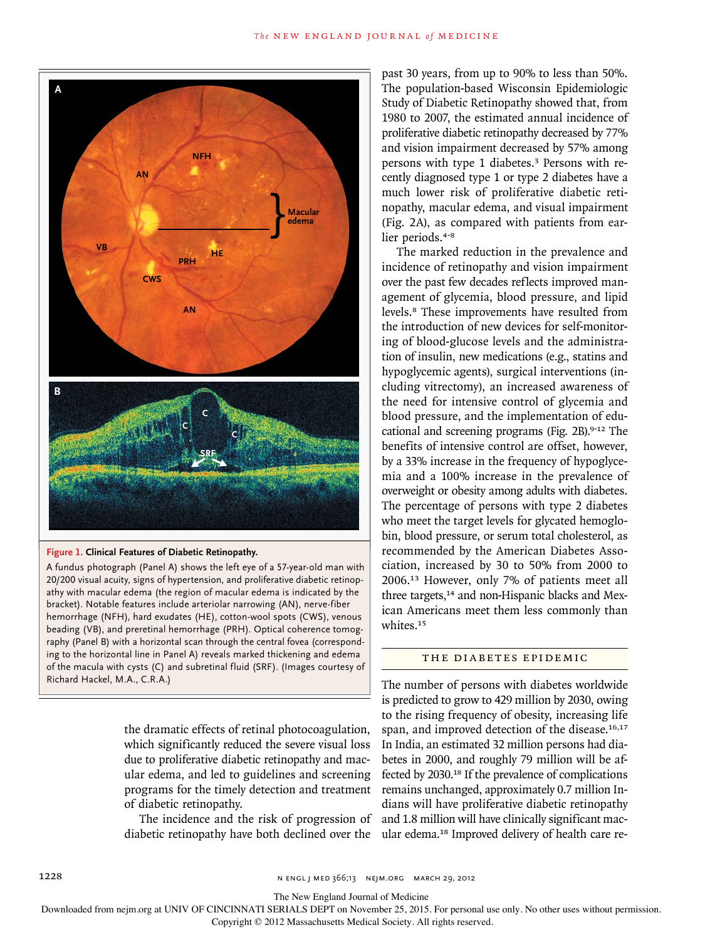

#### **Figure 1. Clinical Features of Diabetic Retinopathy.**

A fundus photograph (Panel A) shows the left eye of a 57-year-old man with 20/200 visual acuity, signs of hypertension, and proliferative diabetic retinopathy with macular edema (the region of macular edema is indicated by the bracket). Notable features include arteriolar narrowing (AN), nerve-fiber hemorrhage (NFH), hard exudates (HE), cotton-wool spots (CWS), venous beading (VB), and preretinal hemorrhage (PRH). Optical coherence tomography (Panel B) with a horizontal scan through the central fovea (corresponding to the horizontal line in Panel A) reveals marked thickening and edema of the macula with cysts (C) and subretinal fluid (SRF). (Images courtesy of Richard Hackel, M.A., C.R.A.)

> the dramatic effects of retinal photocoagulation, which significantly reduced the severe visual loss due to proliferative diabetic retinopathy and macular edema, and led to guidelines and screening programs for the timely detection and treatment of diabetic retinopathy.

> The incidence and the risk of progression of diabetic retinopathy have both declined over the

past 30 years, from up to 90% to less than 50%. The population-based Wisconsin Epidemiologic Study of Diabetic Retinopathy showed that, from 1980 to 2007, the estimated annual incidence of proliferative diabetic retinopathy decreased by 77% and vision impairment decreased by 57% among persons with type 1 diabetes.3 Persons with recently diagnosed type 1 or type 2 diabetes have a much lower risk of proliferative diabetic retinopathy, macular edema, and visual impairment (Fig. 2A), as compared with patients from earlier periods.<sup>4-8</sup>

The marked reduction in the prevalence and incidence of retinopathy and vision impairment over the past few decades reflects improved management of glycemia, blood pressure, and lipid levels.8 These improvements have resulted from the introduction of new devices for self-monitoring of blood-glucose levels and the administration of insulin, new medications (e.g., statins and hypoglycemic agents), surgical interventions (including vitrectomy), an increased awareness of the need for intensive control of glycemia and blood pressure, and the implementation of educational and screening programs (Fig. 2B).<sup>9-12</sup> The benefits of intensive control are offset, however, by a 33% increase in the frequency of hypoglycemia and a 100% increase in the prevalence of overweight or obesity among adults with diabetes. The percentage of persons with type 2 diabetes who meet the target levels for glycated hemoglobin, blood pressure, or serum total cholesterol, as recommended by the American Diabetes Association, increased by 30 to 50% from 2000 to 2006.13 However, only 7% of patients meet all three targets,<sup>14</sup> and non-Hispanic blacks and Mexican Americans meet them less commonly than whites.<sup>15</sup>

#### THE DIABETES EPIDEMIC

The number of persons with diabetes worldwide is predicted to grow to 429 million by 2030, owing to the rising frequency of obesity, increasing life span, and improved detection of the disease.<sup>16,17</sup> In India, an estimated 32 million persons had diabetes in 2000, and roughly 79 million will be affected by 2030.18 If the prevalence of complications remains unchanged, approximately 0.7 million Indians will have proliferative diabetic retinopathy and 1.8 million will have clinically significant macular edema.18 Improved delivery of health care re-

1228 **n EU and 366;13** n engl j med 366;13 nejm.org march 29, 2012

The New England Journal of Medicine

Downloaded from nejm.org at UNIV OF CINCINNATI SERIALS DEPT on November 25, 2015. For personal use only. No other uses without permission.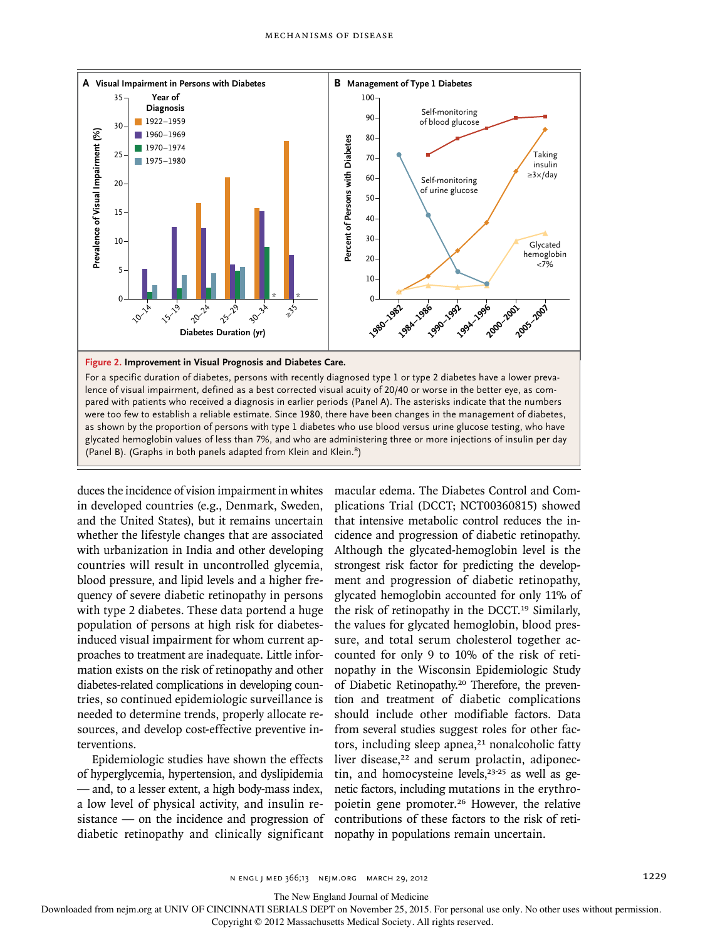

duces the incidence of vision impairment in whites in developed countries (e.g., Denmark, Sweden, and the United States), but it remains uncertain whether the lifestyle changes that are associated with urbanization in India and other developing countries will result in uncontrolled glycemia, blood pressure, and lipid levels and a higher frequency of severe diabetic retinopathy in persons with type 2 diabetes. These data portend a huge population of persons at high risk for diabetesinduced visual impairment for whom current approaches to treatment are inadequate. Little information exists on the risk of retinopathy and other diabetes-related complications in developing countries, so continued epidemiologic surveillance is needed to determine trends, properly allocate resources, and develop cost-effective preventive interventions.

(Panel B). (Graphs in both panels adapted from Klein and Klein.<sup>8</sup>)

Epidemiologic studies have shown the effects of hyperglycemia, hypertension, and dyslipidemia — and, to a lesser extent, a high body-mass index, a low level of physical activity, and insulin resistance — on the incidence and progression of diabetic retinopathy and clinically significant macular edema. The Diabetes Control and Complications Trial (DCCT; NCT00360815) showed that intensive metabolic control reduces the incidence and progression of diabetic retinopathy. Although the glycated-hemoglobin level is the strongest risk factor for predicting the development and progression of diabetic retinopathy, glycated hemoglobin accounted for only 11% of the risk of retinopathy in the DCCT.19 Similarly, the values for glycated hemoglobin, blood pressure, and total serum cholesterol together accounted for only 9 to 10% of the risk of retinopathy in the Wisconsin Epidemiologic Study of Diabetic Retinopathy.20 Therefore, the prevention and treatment of diabetic complications should include other modifiable factors. Data from several studies suggest roles for other factors, including sleep apnea,<sup>21</sup> nonalcoholic fatty liver disease,<sup>22</sup> and serum prolactin, adiponectin, and homocysteine levels,<sup>23-25</sup> as well as genetic factors, including mutations in the erythropoietin gene promoter.26 However, the relative contributions of these factors to the risk of retinopser and the method of the method of the method of the method of the state of the state of the state of the state of the state of the state of the state of the populations remain and the state of the populations relation

The New England Journal of Medicine

Downloaded from nejm.org at UNIV OF CINCINNATI SERIALS DEPT on November 25, 2015. For personal use only. No other uses without permission.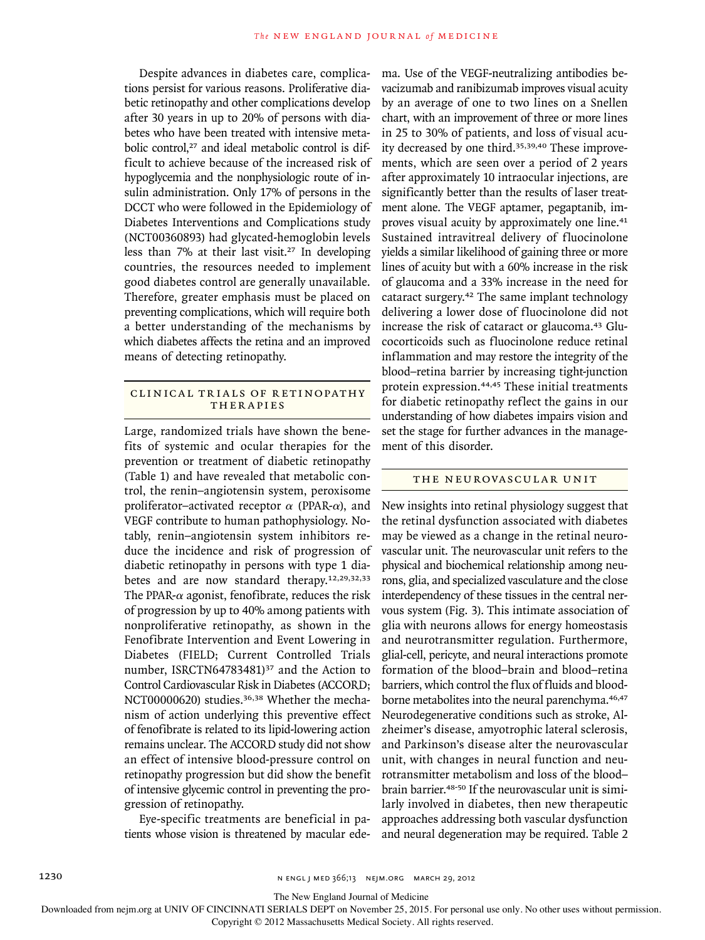Despite advances in diabetes care, complications persist for various reasons. Proliferative diabetic retinopathy and other complications develop after 30 years in up to 20% of persons with diabetes who have been treated with intensive metabolic control.<sup>27</sup> and ideal metabolic control is difficult to achieve because of the increased risk of hypoglycemia and the nonphysiologic route of insulin administration. Only 17% of persons in the DCCT who were followed in the Epidemiology of Diabetes Interventions and Complications study (NCT00360893) had glycated-hemoglobin levels less than 7% at their last visit.27 In developing countries, the resources needed to implement good diabetes control are generally unavailable. Therefore, greater emphasis must be placed on preventing complications, which will require both a better understanding of the mechanisms by which diabetes affects the retina and an improved means of detecting retinopathy.

# CLINICAL TRIALS OF RETINOPATHY THERAPIES

Large, randomized trials have shown the benefits of systemic and ocular therapies for the prevention or treatment of diabetic retinopathy (Table 1) and have revealed that metabolic control, the renin–angiotensin system, peroxisome proliferator–activated receptor *α* (PPAR-*α*), and VEGF contribute to human pathophysiology. Notably, renin–angiotensin system inhibitors reduce the incidence and risk of progression of diabetic retinopathy in persons with type 1 diabetes and are now standard therapy.12,29,32,33 The PPAR-*α* agonist, fenofibrate, reduces the risk of progression by up to 40% among patients with nonproliferative retinopathy, as shown in the Fenofibrate Intervention and Event Lowering in Diabetes (FIELD; Current Controlled Trials number, ISRCTN64783481)<sup>37</sup> and the Action to Control Cardiovascular Risk in Diabetes (ACCORD; NCT00000620) studies.36,38 Whether the mechanism of action underlying this preventive effect of fenofibrate is related to its lipid-lowering action remains unclear. The ACCORD study did not show an effect of intensive blood-pressure control on retinopathy progression but did show the benefit of intensive glycemic control in preventing the progression of retinopathy.

Eye-specific treatments are beneficial in patients whose vision is threatened by macular edema. Use of the VEGF-neutralizing antibodies bevacizumab and ranibizumab improves visual acuity by an average of one to two lines on a Snellen chart, with an improvement of three or more lines in 25 to 30% of patients, and loss of visual acuity decreased by one third.<sup>35,39,40</sup> These improvements, which are seen over a period of 2 years after approximately 10 intraocular injections, are significantly better than the results of laser treatment alone. The VEGF aptamer, pegaptanib, improves visual acuity by approximately one line.<sup>41</sup> Sustained intravitreal delivery of fluocinolone yields a similar likelihood of gaining three or more lines of acuity but with a 60% increase in the risk of glaucoma and a 33% increase in the need for cataract surgery.42 The same implant technology delivering a lower dose of fluocinolone did not increase the risk of cataract or glaucoma.<sup>43</sup> Glucocorticoids such as fluocinolone reduce retinal inflammation and may restore the integrity of the blood–retina barrier by increasing tight-junction protein expression.44,45 These initial treatments for diabetic retinopathy reflect the gains in our understanding of how diabetes impairs vision and set the stage for further advances in the management of this disorder.

## THE NEUROVASCULAR UNIT

New insights into retinal physiology suggest that the retinal dysfunction associated with diabetes may be viewed as a change in the retinal neurovascular unit. The neurovascular unit refers to the physical and biochemical relationship among neurons, glia, and specialized vasculature and the close interdependency of these tissues in the central nervous system (Fig. 3). This intimate association of glia with neurons allows for energy homeostasis and neurotransmitter regulation. Furthermore, glial-cell, pericyte, and neural interactions promote formation of the blood–brain and blood–retina barriers, which control the flux of fluids and bloodborne metabolites into the neural parenchyma.<sup>46,47</sup> Neurodegenerative conditions such as stroke, Alzheimer's disease, amyotrophic lateral sclerosis, and Parkinson's disease alter the neurovascular unit, with changes in neural function and neurotransmitter metabolism and loss of the blood– brain barrier.<sup>48-50</sup> If the neurovascular unit is similarly involved in diabetes, then new therapeutic approaches addressing both vascular dysfunction and neural degeneration may be required. Table 2

1230 **n engl j med 366;13** N ENGL J MED 366;13 N EIM.ORG MARCH 29, 2012

The New England Journal of Medicine

Downloaded from nejm.org at UNIV OF CINCINNATI SERIALS DEPT on November 25, 2015. For personal use only. No other uses without permission.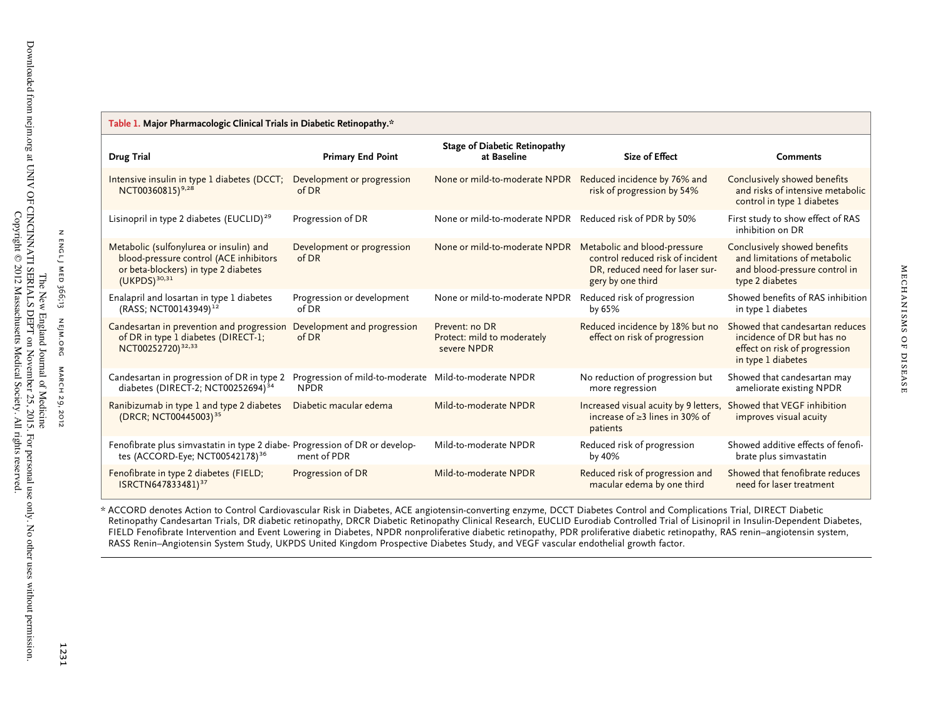| Table 1. Major Pharmacologic Clinical Trials in Diabetic Retinopathy.*                                                                         |                                                                      |                                                              |                                                                                                                       |                                                                                                                      |  |  |
|------------------------------------------------------------------------------------------------------------------------------------------------|----------------------------------------------------------------------|--------------------------------------------------------------|-----------------------------------------------------------------------------------------------------------------------|----------------------------------------------------------------------------------------------------------------------|--|--|
| <b>Drug Trial</b>                                                                                                                              | <b>Primary End Point</b>                                             | <b>Stage of Diabetic Retinopathy</b><br>at Baseline          | <b>Size of Effect</b>                                                                                                 | <b>Comments</b>                                                                                                      |  |  |
| Intensive insulin in type 1 diabetes (DCCT;<br>NCT00360815) <sup>9,28</sup>                                                                    | Development or progression<br>of DR                                  | None or mild-to-moderate NPDR Reduced incidence by 76% and   | risk of progression by 54%                                                                                            | Conclusively showed benefits<br>and risks of intensive metabolic<br>control in type 1 diabetes                       |  |  |
| Lisinopril in type 2 diabetes (EUCLID) <sup>29</sup>                                                                                           | Progression of DR                                                    | None or mild-to-moderate NPDR Reduced risk of PDR by 50%     |                                                                                                                       | First study to show effect of RAS<br>inhibition on DR                                                                |  |  |
| Metabolic (sulfonylurea or insulin) and<br>blood-pressure control (ACE inhibitors<br>or beta-blockers) in type 2 diabetes<br>$(UKPDS)^{30,31}$ | Development or progression<br>of DR                                  | None or mild-to-moderate NPDR Metabolic and blood-pressure   | control reduced risk of incident<br>DR, reduced need for laser sur-<br>gery by one third                              | Conclusively showed benefits<br>and limitations of metabolic<br>and blood-pressure control in<br>type 2 diabetes     |  |  |
| Enalapril and losartan in type 1 diabetes<br>(RASS; NCT00143949) <sup>12</sup>                                                                 | Progression or development<br>of DR                                  | None or mild-to-moderate NPDR                                | Reduced risk of progression<br>by 65%                                                                                 | Showed benefits of RAS inhibition<br>in type 1 diabetes                                                              |  |  |
| Candesartan in prevention and progression<br>of DR in type 1 diabetes (DIRECT-1;<br>NCT00252720) <sup>32,33</sup>                              | Development and progression<br>of DR                                 | Prevent: no DR<br>Protect: mild to moderately<br>severe NPDR | Reduced incidence by 18% but no<br>effect on risk of progression                                                      | Showed that candesartan reduces<br>incidence of DR but has no<br>effect on risk of progression<br>in type 1 diabetes |  |  |
| Candesartan in progression of DR in type 2<br>diabetes (DIRECT-2; NCT00252694) <sup>34</sup>                                                   | Progression of mild-to-moderate Mild-to-moderate NPDR<br><b>NPDR</b> |                                                              | No reduction of progression but<br>more regression                                                                    | Showed that candesartan may<br>ameliorate existing NPDR                                                              |  |  |
| Ranibizumab in type 1 and type 2 diabetes<br>(DRCR; NCT00445003) <sup>35</sup>                                                                 | Diabetic macular edema                                               | Mild-to-moderate NPDR                                        | Increased visual acuity by 9 letters, Showed that VEGF inhibition<br>increase of $\geq$ 3 lines in 30% of<br>patients | improves visual acuity                                                                                               |  |  |
| Fenofibrate plus simvastatin in type 2 diabe-Progression of DR or develop-<br>tes (ACCORD-Eye; NCT00542178) <sup>36</sup>                      | ment of PDR                                                          | Mild-to-moderate NPDR                                        | Reduced risk of progression<br>by 40%                                                                                 | Showed additive effects of fenofi-<br>brate plus simvastatin                                                         |  |  |
| Fenofibrate in type 2 diabetes (FIELD;<br>ISRCTN647833481) <sup>37</sup>                                                                       | Progression of DR                                                    | Mild-to-moderate NPDR                                        | Reduced risk of progression and<br>macular edema by one third                                                         | Showed that fenofibrate reduces<br>need for laser treatment                                                          |  |  |

\* ACCORD denotes Action to Control Cardiovascular Risk in Diabetes, ACE angiotensin-converting enzyme, DCCT Diabetes Control and Complications Trial, DIRECT Diabetic Retinopathy Candesartan Trials, DR diabetic retinopathy, DRCR Diabetic Retinopathy Clinical Research, EUCLID Eurodiab Controlled Trial of Lisinopril in Insulin-Dependent Diabetes, FIELD Fenofibrate Intervention and Event Lowering in Diabetes, NPDR nonproliferative diabetic retinopathy, PDR proliferative diabetic retinopathy, RAS renin–angiotensin system, RASS Renin–Angiotensin System Study, UKPDS United Kingdom Prospective Diabetes Study, and VEGF vascular endothelial growth factor.

n engl j med ENGLJ MED 366;13

 $\mathsf z$ 

nejm.org

MARCH 29, 2012

1231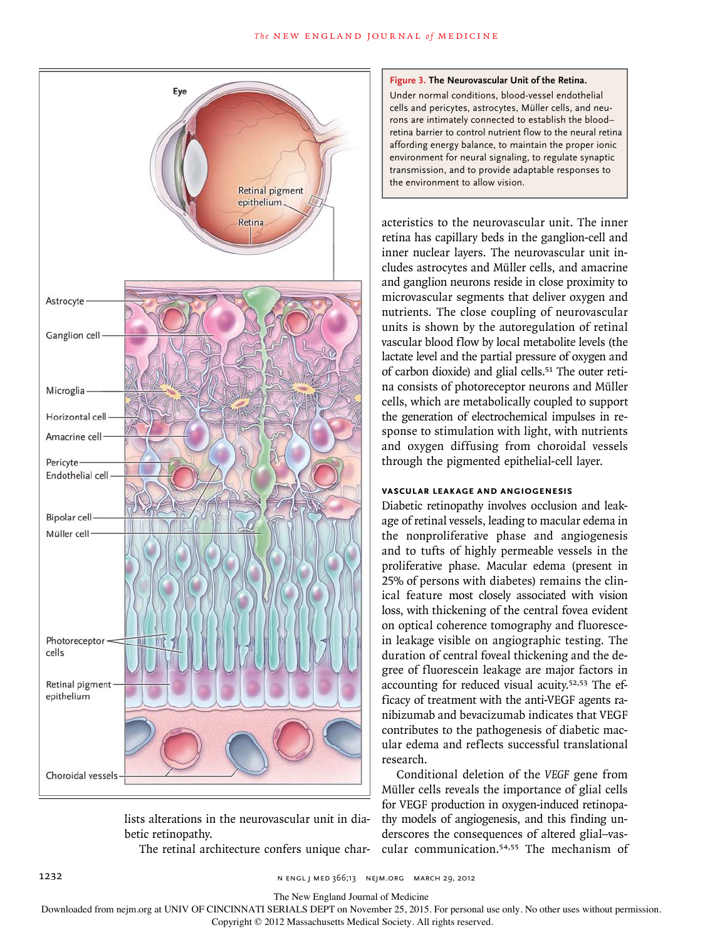

lists alterations in the neurovascular unit in diabetic retinopathy.

The retinal architecture confers unique char-

#### **Figure 3. The Neurovascular Unit of the Retina.**

Under normal conditions, blood-vessel endothelial cells and pericytes, astrocytes, Müller cells, and neurons are intimately connected to establish the blood– retina barrier to control nutrient flow to the neural retina affording energy balance, to maintain the proper ionic environment for neural signaling, to regulate synaptic transmission, and to provide adaptable responses to the environment to allow vision.

acteristics to the neurovascular unit. The inner retina has capillary beds in the ganglion-cell and inner nuclear layers. The neurovascular unit includes astrocytes and Müller cells, and amacrine and ganglion neurons reside in close proximity to microvascular segments that deliver oxygen and nutrients. The close coupling of neurovascular units is shown by the autoregulation of retinal vascular blood flow by local metabolite levels (the lactate level and the partial pressure of oxygen and of carbon dioxide) and glial cells.51 The outer retina consists of photoreceptor neurons and Müller cells, which are metabolically coupled to support the generation of electrochemical impulses in response to stimulation with light, with nutrients and oxygen diffusing from choroidal vessels through the pigmented epithelial-cell layer.

# **VASCULAR LEAKAGE AND ANGIOGENESIS**

Diabetic retinopathy involves occlusion and leakage of retinal vessels, leading to macular edema in the nonproliferative phase and angiogenesis and to tufts of highly permeable vessels in the proliferative phase. Macular edema (present in 25% of persons with diabetes) remains the clinical feature most closely associated with vision loss, with thickening of the central fovea evident on optical coherence tomography and fluorescein leakage visible on angiographic testing. The duration of central foveal thickening and the degree of fluorescein leakage are major factors in accounting for reduced visual acuity.52,53 The efficacy of treatment with the anti-VEGF agents ranibizumab and bevacizumab indicates that VEGF contributes to the pathogenesis of diabetic macular edema and reflects successful translational research.

Conditional deletion of the *VEGF* gene from Müller cells reveals the importance of glial cells for VEGF production in oxygen-induced retinopathy models of angiogenesis, and this finding underscores the consequences of altered glial–vascular communication.54,55 The mechanism of

The New England Journal of Medicine

Downloaded from nejm.org at UNIV OF CINCINNATI SERIALS DEPT on November 25, 2015. For personal use only. No other uses without permission.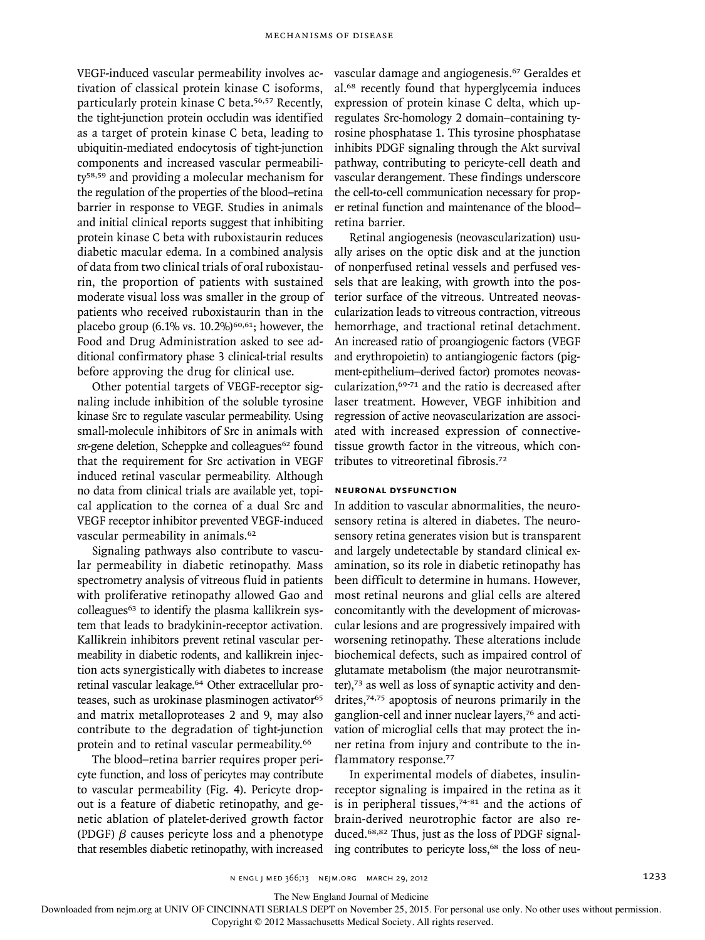VEGF-induced vascular permeability involves activation of classical protein kinase C isoforms, particularly protein kinase C beta.56,57 Recently, the tight-junction protein occludin was identified as a target of protein kinase C beta, leading to ubiquitin-mediated endocytosis of tight-junction components and increased vascular permeability58,59 and providing a molecular mechanism for the regulation of the properties of the blood–retina barrier in response to VEGF. Studies in animals and initial clinical reports suggest that inhibiting protein kinase C beta with ruboxistaurin reduces diabetic macular edema. In a combined analysis of data from two clinical trials of oral ruboxistaurin, the proportion of patients with sustained moderate visual loss was smaller in the group of patients who received ruboxistaurin than in the placebo group (6.1% vs.  $10.2\%$ )<sup>60,61</sup>; however, the Food and Drug Administration asked to see additional confirmatory phase 3 clinical-trial results before approving the drug for clinical use.

Other potential targets of VEGF-receptor signaling include inhibition of the soluble tyrosine kinase Src to regulate vascular permeability. Using small-molecule inhibitors of Src in animals with *src*-gene deletion, Scheppke and colleagues<sup>62</sup> found that the requirement for Src activation in VEGF induced retinal vascular permeability. Although no data from clinical trials are available yet, topical application to the cornea of a dual Src and VEGF receptor inhibitor prevented VEGF-induced vascular permeability in animals.<sup>62</sup>

Signaling pathways also contribute to vascular permeability in diabetic retinopathy. Mass spectrometry analysis of vitreous fluid in patients with proliferative retinopathy allowed Gao and colleagues<sup>63</sup> to identify the plasma kallikrein system that leads to bradykinin-receptor activation. Kallikrein inhibitors prevent retinal vascular permeability in diabetic rodents, and kallikrein injection acts synergistically with diabetes to increase retinal vascular leakage.<sup>64</sup> Other extracellular proteases, such as urokinase plasminogen activator<sup>65</sup> and matrix metalloproteases 2 and 9, may also contribute to the degradation of tight-junction protein and to retinal vascular permeability.<sup>66</sup>

The blood–retina barrier requires proper pericyte function, and loss of pericytes may contribute to vascular permeability (Fig. 4). Pericyte dropout is a feature of diabetic retinopathy, and genetic ablation of platelet-derived growth factor (PDGF) *β* causes pericyte loss and a phenotype that resembles diabetic retinopathy, with increased

vascular damage and angiogenesis.67 Geraldes et al.68 recently found that hyperglycemia induces expression of protein kinase C delta, which upregulates Src-homology 2 domain–containing tyrosine phosphatase 1. This tyrosine phosphatase inhibits PDGF signaling through the Akt survival pathway, contributing to pericyte-cell death and vascular derangement. These findings underscore the cell-to-cell communication necessary for proper retinal function and maintenance of the blood– retina barrier.

Retinal angiogenesis (neovascularization) usually arises on the optic disk and at the junction of nonperfused retinal vessels and perfused vessels that are leaking, with growth into the posterior surface of the vitreous. Untreated neovascularization leads to vitreous contraction, vitreous hemorrhage, and tractional retinal detachment. An increased ratio of proangiogenic factors (VEGF and erythropoietin) to antiangiogenic factors (pigment-epithelium–derived factor) promotes neovascularization,69-71 and the ratio is decreased after laser treatment. However, VEGF inhibition and regression of active neovascularization are associated with increased expression of connectivetissue growth factor in the vitreous, which contributes to vitreoretinal fibrosis.<sup>72</sup>

# **NEURONAL DYSFUNCTION**

In addition to vascular abnormalities, the neurosensory retina is altered in diabetes. The neurosensory retina generates vision but is transparent and largely undetectable by standard clinical examination, so its role in diabetic retinopathy has been difficult to determine in humans. However, most retinal neurons and glial cells are altered concomitantly with the development of microvascular lesions and are progressively impaired with worsening retinopathy. These alterations include biochemical defects, such as impaired control of glutamate metabolism (the major neurotransmitter),73 as well as loss of synaptic activity and dendrites, $74,75$  apoptosis of neurons primarily in the ganglion-cell and inner nuclear layers,76 and activation of microglial cells that may protect the inner retina from injury and contribute to the inflammatory response.<sup>77</sup>

In experimental models of diabetes, insulinreceptor signaling is impaired in the retina as it is in peripheral tissues, $74-81$  and the actions of brain-derived neurotrophic factor are also reduced.68,82 Thus, just as the loss of PDGF signaling contributes to pericyte loss,<sup>68</sup> the loss of neu-

The New England Journal of Medicine

Downloaded from nejm.org at UNIV OF CINCINNATI SERIALS DEPT on November 25, 2015. For personal use only. No other uses without permission.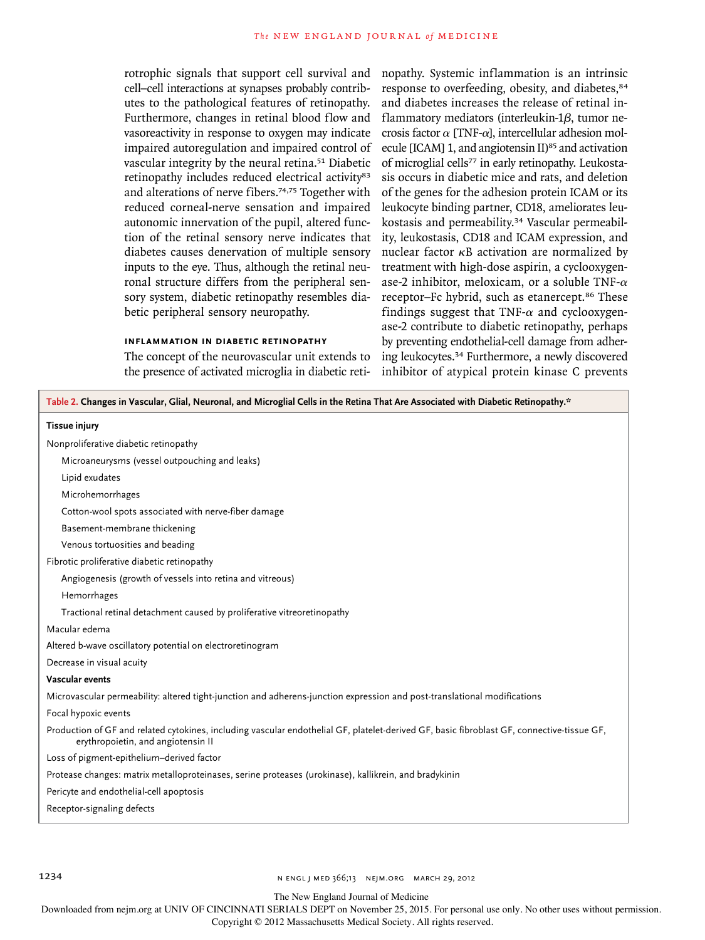rotrophic signals that support cell survival and cell–cell interactions at synapses probably contributes to the pathological features of retinopathy. Furthermore, changes in retinal blood flow and vasoreactivity in response to oxygen may indicate impaired autoregulation and impaired control of vascular integrity by the neural retina.51 Diabetic retinopathy includes reduced electrical activity<sup>83</sup> and alterations of nerve fibers.74,75 Together with reduced corneal-nerve sensation and impaired autonomic innervation of the pupil, altered function of the retinal sensory nerve indicates that diabetes causes denervation of multiple sensory inputs to the eye. Thus, although the retinal neuronal structure differs from the peripheral sensory system, diabetic retinopathy resembles diabetic peripheral sensory neuropathy.

## **INFLAMMATION IN DIABETIC RETINOPATHY**

The concept of the neurovascular unit extends to the presence of activated microglia in diabetic retinopathy. Systemic inflammation is an intrinsic response to overfeeding, obesity, and diabetes,  $84$ and diabetes increases the release of retinal inflammatory mediators (interleukin-1*β*, tumor necrosis factor *α* [TNF-*α*], intercellular adhesion molecule [ICAM] 1, and angiotensin  $II$ <sup>85</sup> and activation of microglial cells<sup>77</sup> in early retinopathy. Leukostasis occurs in diabetic mice and rats, and deletion of the genes for the adhesion protein ICAM or its leukocyte binding partner, CD18, ameliorates leukostasis and permeability.34 Vascular permeability, leukostasis, CD18 and ICAM expression, and nuclear factor κB activation are normalized by treatment with high-dose aspirin, a cyclooxygenase-2 inhibitor, meloxicam, or a soluble TNF-*α* receptor-Fc hybrid, such as etanercept.<sup>86</sup> These findings suggest that TNF-*α* and cyclooxygenase-2 contribute to diabetic retinopathy, perhaps by preventing endothelial-cell damage from adhering leukocytes.34 Furthermore, a newly discovered inhibitor of atypical protein kinase C prevents

| Table 2. Changes in Vascular, Glial, Neuronal, and Microglial Cells in the Retina That Are Associated with Diabetic Retinopathy.*                                                |  |  |  |
|----------------------------------------------------------------------------------------------------------------------------------------------------------------------------------|--|--|--|
| <b>Tissue injury</b>                                                                                                                                                             |  |  |  |
| Nonproliferative diabetic retinopathy                                                                                                                                            |  |  |  |
| Microaneurysms (vessel outpouching and leaks)                                                                                                                                    |  |  |  |
| Lipid exudates                                                                                                                                                                   |  |  |  |
| Microhemorrhages                                                                                                                                                                 |  |  |  |
| Cotton-wool spots associated with nerve-fiber damage                                                                                                                             |  |  |  |
| Basement-membrane thickening                                                                                                                                                     |  |  |  |
| Venous tortuosities and beading                                                                                                                                                  |  |  |  |
| Fibrotic proliferative diabetic retinopathy                                                                                                                                      |  |  |  |
| Angiogenesis (growth of vessels into retina and vitreous)                                                                                                                        |  |  |  |
| Hemorrhages                                                                                                                                                                      |  |  |  |
| Tractional retinal detachment caused by proliferative vitreoretinopathy                                                                                                          |  |  |  |
| Macular edema                                                                                                                                                                    |  |  |  |
| Altered b-wave oscillatory potential on electroretinogram                                                                                                                        |  |  |  |
| Decrease in visual acuity                                                                                                                                                        |  |  |  |
| Vascular events                                                                                                                                                                  |  |  |  |
| Microvascular permeability: altered tight-junction and adherens-junction expression and post-translational modifications                                                         |  |  |  |
| Focal hypoxic events                                                                                                                                                             |  |  |  |
| Production of GF and related cytokines, including vascular endothelial GF, platelet-derived GF, basic fibroblast GF, connective-tissue GF,<br>erythropoietin, and angiotensin II |  |  |  |
| Loss of pigment-epithelium-derived factor                                                                                                                                        |  |  |  |
| Protease changes: matrix metalloproteinases, serine proteases (urokinase), kallikrein, and bradykinin                                                                            |  |  |  |
| Pericyte and endothelial-cell apoptosis                                                                                                                                          |  |  |  |
| Receptor-signaling defects                                                                                                                                                       |  |  |  |

1234 **n engl j med 366;13** n engl j med 366;13 nejm.org march 29, 2012

The New England Journal of Medicine

Downloaded from nejm.org at UNIV OF CINCINNATI SERIALS DEPT on November 25, 2015. For personal use only. No other uses without permission.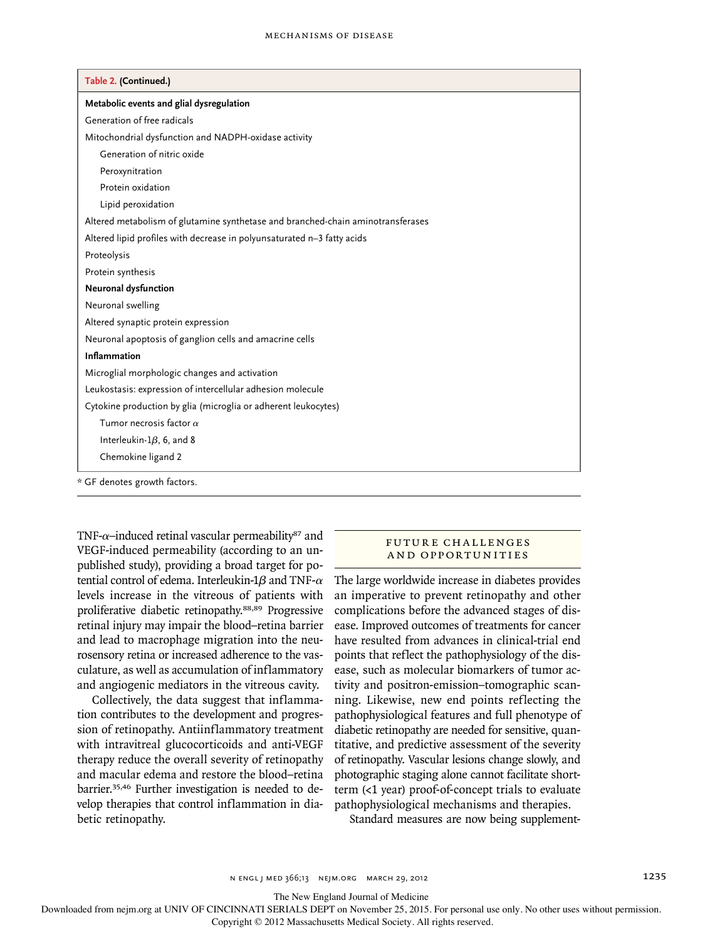| Table 2. (Continued.)                                                           |  |
|---------------------------------------------------------------------------------|--|
| Metabolic events and glial dysregulation                                        |  |
| Generation of free radicals                                                     |  |
| Mitochondrial dysfunction and NADPH-oxidase activity                            |  |
| Generation of nitric oxide                                                      |  |
| Peroxynitration                                                                 |  |
| Protein oxidation                                                               |  |
| Lipid peroxidation                                                              |  |
| Altered metabolism of glutamine synthetase and branched-chain aminotransferases |  |
| Altered lipid profiles with decrease in polyunsaturated n-3 fatty acids         |  |
| Proteolysis                                                                     |  |
| Protein synthesis                                                               |  |
| Neuronal dysfunction                                                            |  |
| Neuronal swelling                                                               |  |
| Altered synaptic protein expression                                             |  |
| Neuronal apoptosis of ganglion cells and amacrine cells                         |  |
| <b>Inflammation</b>                                                             |  |
| Microglial morphologic changes and activation                                   |  |
| Leukostasis: expression of intercellular adhesion molecule                      |  |
| Cytokine production by glia (microglia or adherent leukocytes)                  |  |
| Tumor necrosis factor $\alpha$                                                  |  |
| Interleukin- $1\beta$ , 6, and 8                                                |  |
| Chemokine ligand 2                                                              |  |

TNF-α-induced retinal vascular permeability<sup>87</sup> and VEGF-induced permeability (according to an unpublished study), providing a broad target for potential control of edema. Interleukin-1*β* and TNF-*α* levels increase in the vitreous of patients with proliferative diabetic retinopathy.88,89 Progressive retinal injury may impair the blood–retina barrier and lead to macrophage migration into the neurosensory retina or increased adherence to the vasculature, as well as accumulation of inflammatory and angiogenic mediators in the vitreous cavity.

Collectively, the data suggest that inflammation contributes to the development and progression of retinopathy. Antiinflammatory treatment with intravitreal glucocorticoids and anti-VEGF therapy reduce the overall severity of retinopathy and macular edema and restore the blood–retina barrier.35,46 Further investigation is needed to develop therapies that control inflammation in diabetic retinopathy.

### FUTURE CHALLENGES AND OPPORTUNITIES

The large worldwide increase in diabetes provides an imperative to prevent retinopathy and other complications before the advanced stages of disease. Improved outcomes of treatments for cancer have resulted from advances in clinical-trial end points that reflect the pathophysiology of the disease, such as molecular biomarkers of tumor activity and positron-emission–tomographic scanning. Likewise, new end points reflecting the pathophysiological features and full phenotype of diabetic retinopathy are needed for sensitive, quantitative, and predictive assessment of the severity of retinopathy. Vascular lesions change slowly, and photographic staging alone cannot facilitate shortterm (<1 year) proof-of-concept trials to evaluate pathophysiological mechanisms and therapies.

Standard measures are now being supplement-

n engl j med 366;13 nejm.org march 29, 2012 1235

The New England Journal of Medicine

Downloaded from nejm.org at UNIV OF CINCINNATI SERIALS DEPT on November 25, 2015. For personal use only. No other uses without permission.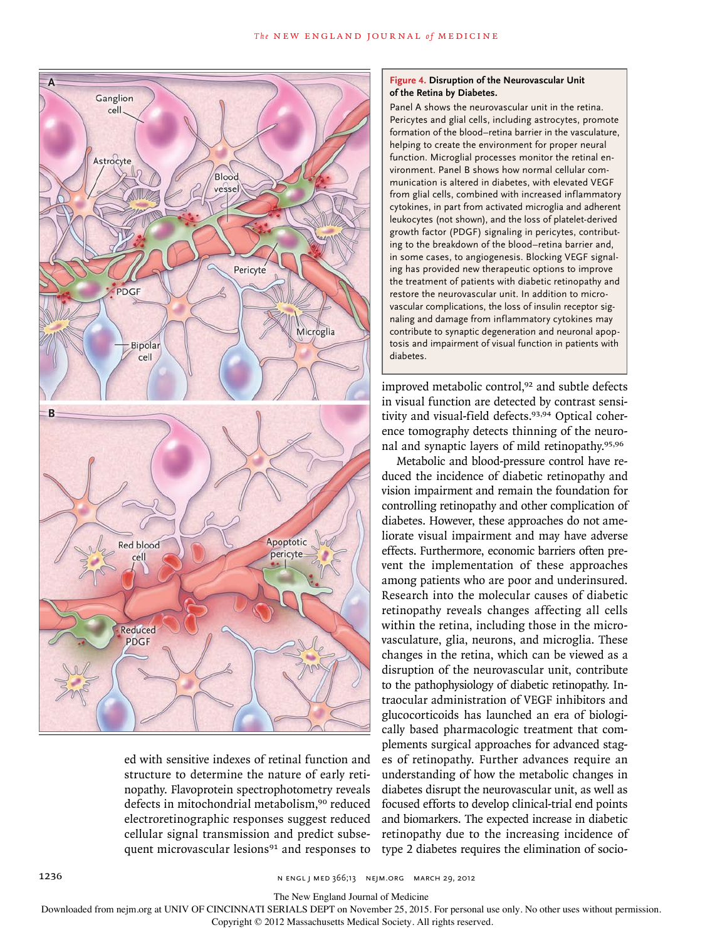

ed with sensitive indexes of retinal function and structure to determine the nature of early retinopathy. Flavoprotein spectrophotometry reveals defects in mitochondrial metabolism,<sup>90</sup> reduced electroretinographic responses suggest reduced cellular signal transmission and predict subsequent microvascular lesions<sup>91</sup> and responses to

## **Figure 4. Disruption of the Neurovascular Unit of the Retina by Diabetes.**

Panel A shows the neurovascular unit in the retina. Pericytes and glial cells, including astrocytes, promote formation of the blood–retina barrier in the vasculature, helping to create the environment for proper neural function. Microglial processes monitor the retinal environment. Panel B shows how normal cellular communication is altered in diabetes, with elevated VEGF from glial cells, combined with increased inflammatory cytokines, in part from activated microglia and adherent leukocytes (not shown), and the loss of platelet-derived growth factor (PDGF) signaling in pericytes, contributing to the breakdown of the blood–retina barrier and, in some cases, to angiogenesis. Blocking VEGF signaling has provided new therapeutic options to improve the treatment of patients with diabetic retinopathy and restore the neurovascular unit. In addition to microvascular complications, the loss of insulin receptor signaling and damage from inflammatory cytokines may contribute to synaptic degeneration and neuronal apoptosis and impairment of visual function in patients with diabetes.

improved metabolic control,<sup>92</sup> and subtle defects in visual function are detected by contrast sensitivity and visual-field defects.93,94 Optical coherence tomography detects thinning of the neuronal and synaptic layers of mild retinopathy.95,96

Metabolic and blood-pressure control have reduced the incidence of diabetic retinopathy and vision impairment and remain the foundation for controlling retinopathy and other complication of diabetes. However, these approaches do not ameliorate visual impairment and may have adverse effects. Furthermore, economic barriers often prevent the implementation of these approaches among patients who are poor and underinsured. Research into the molecular causes of diabetic retinopathy reveals changes affecting all cells within the retina, including those in the microvasculature, glia, neurons, and microglia. These changes in the retina, which can be viewed as a disruption of the neurovascular unit, contribute to the pathophysiology of diabetic retinopathy. Intraocular administration of VEGF inhibitors and glucocorticoids has launched an era of biologically based pharmacologic treatment that complements surgical approaches for advanced stages of retinopathy. Further advances require an understanding of how the metabolic changes in diabetes disrupt the neurovascular unit, as well as focused efforts to develop clinical-trial end points and biomarkers. The expected increase in diabetic retinopathy due to the increasing incidence of type 2 diabetes requires the elimination of socio-

1236 **n ENGL J MED 366;13** N ENGL J MED 366;13 NEJM.ORG MARCH 29, 2012

The New England Journal of Medicine

Downloaded from nejm.org at UNIV OF CINCINNATI SERIALS DEPT on November 25, 2015. For personal use only. No other uses without permission.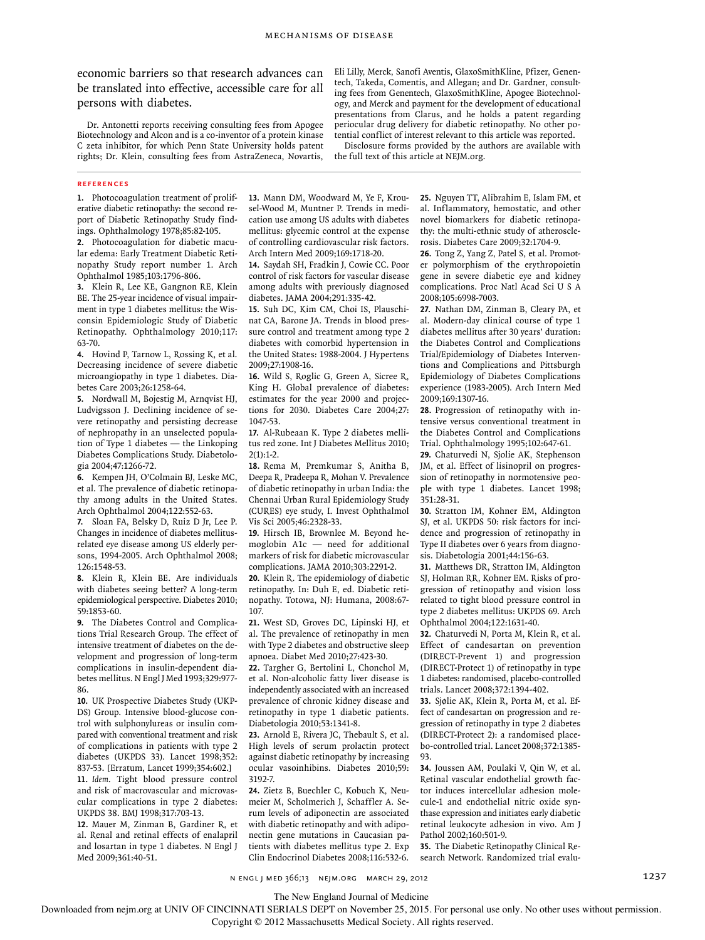economic barriers so that research advances can be translated into effective, accessible care for all persons with diabetes.

Dr. Antonetti reports receiving consulting fees from Apogee Biotechnology and Alcon and is a co-inventor of a protein kinase C zeta inhibitor, for which Penn State University holds patent rights; Dr. Klein, consulting fees from AstraZeneca, Novartis,

Eli Lilly, Merck, Sanofi Aventis, GlaxoSmithKline, Pfizer, Genentech, Takeda, Comentis, and Allegan; and Dr. Gardner, consulting fees from Genentech, GlaxoSmithKline, Apogee Biotechnology, and Merck and payment for the development of educational presentations from Clarus, and he holds a patent regarding periocular drug delivery for diabetic retinopathy. No other potential conflict of interest relevant to this article was reported.

Disclosure forms provided by the authors are available with the full text of this article at NEJM.org.

#### **REFERENCES**

**1.** Photocoagulation treatment of proliferative diabetic retinopathy: the second report of Diabetic Retinopathy Study findings. Ophthalmology 1978;85:82-105.

**2.** Photocoagulation for diabetic macular edema: Early Treatment Diabetic Retinopathy Study report number 1. Arch Ophthalmol 1985;103:1796-806.

**3.** Klein R, Lee KE, Gangnon RE, Klein BE. The 25-year incidence of visual impairment in type 1 diabetes mellitus: the Wisconsin Epidemiologic Study of Diabetic Retinopathy. Ophthalmology 2010;117: 63-70.

**4.** Hovind P, Tarnow L, Rossing K, et al. Decreasing incidence of severe diabetic microangiopathy in type 1 diabetes. Diabetes Care 2003;26:1258-64.

**5.** Nordwall M, Bojestig M, Arnqvist HJ, Ludvigsson J. Declining incidence of severe retinopathy and persisting decrease of nephropathy in an unselected population of Type 1 diabetes — the Linkoping Diabetes Complications Study. Diabetologia 2004;47:1266-72.

**6.** Kempen JH, O'Colmain BJ, Leske MC, et al. The prevalence of diabetic retinopathy among adults in the United States. Arch Ophthalmol 2004;122:552-63.

**7.** Sloan FA, Belsky D, Ruiz D Jr, Lee P. Changes in incidence of diabetes mellitusrelated eye disease among US elderly persons, 1994-2005. Arch Ophthalmol 2008; 126:1548-53.

**8.** Klein R, Klein BE. Are individuals with diabetes seeing better? A long-term epidemiological perspective. Diabetes 2010; 59:1853-60.

**9.** The Diabetes Control and Complications Trial Research Group. The effect of intensive treatment of diabetes on the development and progression of long-term complications in insulin-dependent diabetes mellitus. N Engl J Med 1993;329:977- 86.

**10.** UK Prospective Diabetes Study (UKP-DS) Group. Intensive blood-glucose control with sulphonylureas or insulin compared with conventional treatment and risk of complications in patients with type 2 diabetes (UKPDS 33). Lancet 1998;352: 837-53. [Erratum, Lancet 1999;354:602.] **11.** *Idem*. Tight blood pressure control and risk of macrovascular and microvascular complications in type 2 diabetes: UKPDS 38. BMJ 1998;317:703-13.

**12.** Mauer M, Zinman B, Gardiner R, et al. Renal and retinal effects of enalapril and losartan in type 1 diabetes. N Engl J Med 2009;361:40-51.

**13.** Mann DM, Woodward M, Ye F, Krousel-Wood M, Muntner P. Trends in medication use among US adults with diabetes mellitus: glycemic control at the expense of controlling cardiovascular risk factors. Arch Intern Med 2009;169:1718-20.

**14.** Saydah SH, Fradkin J, Cowie CC. Poor control of risk factors for vascular disease among adults with previously diagnosed diabetes. JAMA 2004;291:335-42.

**15.** Suh DC, Kim CM, Choi IS, Plauschinat CA, Barone JA. Trends in blood pressure control and treatment among type 2 diabetes with comorbid hypertension in the United States: 1988-2004. J Hypertens 2009;27:1908-16.

**16.** Wild S, Roglic G, Green A, Sicree R, King H. Global prevalence of diabetes: estimates for the year 2000 and projections for 2030. Diabetes Care 2004;27: 1047-53.

**17.** Al-Rubeaan K. Type 2 diabetes mellitus red zone. Int J Diabetes Mellitus 2010; 2(1):1-2.

**18.** Rema M, Premkumar S, Anitha B, Deepa R, Pradeepa R, Mohan V. Prevalence of diabetic retinopathy in urban India: the Chennai Urban Rural Epidemiology Study (CURES) eye study, I. Invest Ophthalmol Vis Sci 2005;46:2328-33.

**19.** Hirsch IB, Brownlee M. Beyond hemoglobin A1c — need for additional markers of risk for diabetic microvascular complications. JAMA 2010;303:2291-2.

**20.** Klein R. The epidemiology of diabetic retinopathy. In: Duh E, ed. Diabetic retinopathy. Totowa, NJ: Humana, 2008:67- 107.

**21.** West SD, Groves DC, Lipinski HJ, et al. The prevalence of retinopathy in men with Type 2 diabetes and obstructive sleep apnoea. Diabet Med 2010;27:423-30.

**22.** Targher G, Bertolini L, Chonchol M, et al. Non-alcoholic fatty liver disease is independently associated with an increased prevalence of chronic kidney disease and retinopathy in type 1 diabetic patients. Diabetologia 2010;53:1341-8.

**23.** Arnold E, Rivera JC, Thebault S, et al. High levels of serum prolactin protect against diabetic retinopathy by increasing ocular vasoinhibins. Diabetes 2010;59: 3192-7.

**24.** Zietz B, Buechler C, Kobuch K, Neumeier M, Scholmerich J, Schaffler A. Serum levels of adiponectin are associated with diabetic retinopathy and with adiponectin gene mutations in Caucasian patients with diabetes mellitus type 2. Exp Clin Endocrinol Diabetes 2008;116:532-6.

**25.** Nguyen TT, Alibrahim E, Islam FM, et al. Inflammatory, hemostatic, and other novel biomarkers for diabetic retinopathy: the multi-ethnic study of atherosclerosis. Diabetes Care 2009;32:1704-9.

**26.** Tong Z, Yang Z, Patel S, et al. Promoter polymorphism of the erythropoietin gene in severe diabetic eye and kidney complications. Proc Natl Acad Sci U S A 2008;105:6998-7003.

**27.** Nathan DM, Zinman B, Cleary PA, et al. Modern-day clinical course of type 1 diabetes mellitus after 30 years' duration: the Diabetes Control and Complications Trial/Epidemiology of Diabetes Interventions and Complications and Pittsburgh Epidemiology of Diabetes Complications experience (1983-2005). Arch Intern Med 2009;169:1307-16.

**28.** Progression of retinopathy with intensive versus conventional treatment in the Diabetes Control and Complications Trial. Ophthalmology 1995;102:647-61.

**29.** Chaturvedi N, Sjolie AK, Stephenson JM, et al. Effect of lisinopril on progression of retinopathy in normotensive people with type 1 diabetes. Lancet 1998; 351:28-31.

**30.** Stratton IM, Kohner EM, Aldington SJ, et al. UKPDS 50: risk factors for incidence and progression of retinopathy in Type II diabetes over 6 years from diagnosis. Diabetologia 2001;44:156-63.

**31.** Matthews DR, Stratton IM, Aldington SJ, Holman RR, Kohner EM. Risks of progression of retinopathy and vision loss related to tight blood pressure control in type 2 diabetes mellitus: UKPDS 69. Arch Ophthalmol 2004;122:1631-40.

**32.** Chaturvedi N, Porta M, Klein R, et al. Effect of candesartan on prevention (DIRECT-Prevent 1) and progression (DIRECT-Protect 1) of retinopathy in type 1 diabetes: randomised, placebo-controlled trials. Lancet 2008;372:1394-402.

**33.** Sjølie AK, Klein R, Porta M, et al. Effect of candesartan on progression and regression of retinopathy in type 2 diabetes (DIRECT-Protect 2): a randomised placebo-controlled trial. Lancet 2008;372:1385- 93.

**34.** Joussen AM, Poulaki V, Qin W, et al. Retinal vascular endothelial growth factor induces intercellular adhesion molecule-1 and endothelial nitric oxide synthase expression and initiates early diabetic retinal leukocyte adhesion in vivo. Am J Pathol 2002;160:501-9.

**35.** The Diabetic Retinopathy Clinical Research Network. Randomized trial evalu-

n engl j med 366;13 nejm.org march 29, 2012 1237

The New England Journal of Medicine

Downloaded from nejm.org at UNIV OF CINCINNATI SERIALS DEPT on November 25, 2015. For personal use only. No other uses without permission.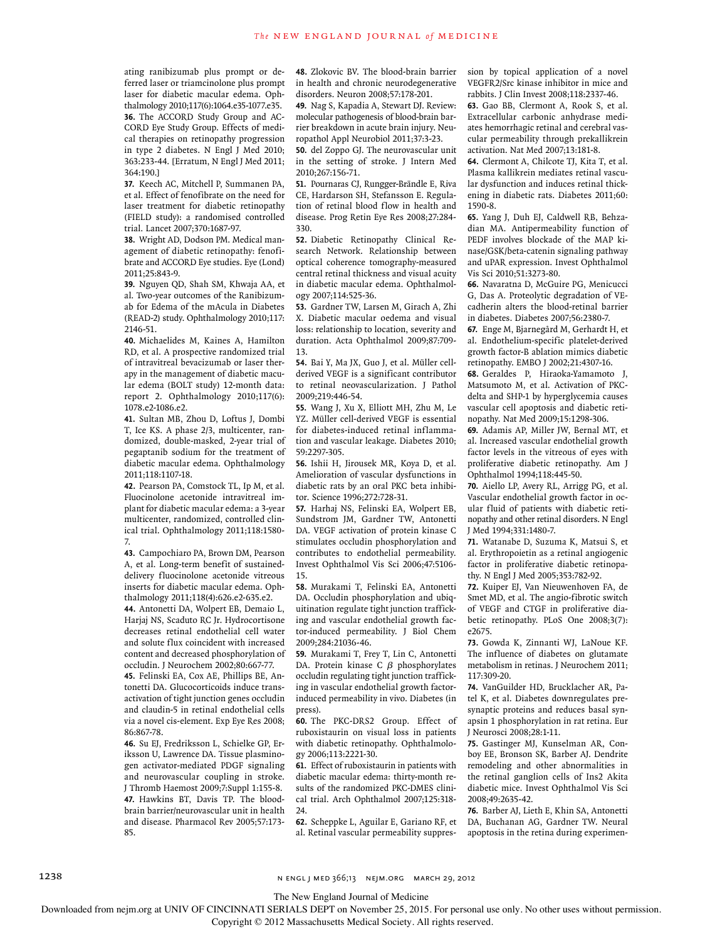ating ranibizumab plus prompt or deferred laser or triamcinolone plus prompt laser for diabetic macular edema. Ophthalmology 2010;117(6):1064.e35-1077.e35. **36.** The ACCORD Study Group and AC-CORD Eye Study Group. Effects of medical therapies on retinopathy progression in type 2 diabetes. N Engl J Med 2010; 363:233-44. [Erratum, N Engl J Med 2011; 364:190.]

**37.** Keech AC, Mitchell P, Summanen PA, et al. Effect of fenofibrate on the need for laser treatment for diabetic retinopathy (FIELD study): a randomised controlled trial. Lancet 2007;370:1687-97.

**38.** Wright AD, Dodson PM. Medical management of diabetic retinopathy: fenofibrate and ACCORD Eye studies. Eye (Lond) 2011;25:843-9.

**39.** Nguyen QD, Shah SM, Khwaja AA, et al. Two-year outcomes of the Ranibizumab for Edema of the mAcula in Diabetes (READ-2) study. Ophthalmology 2010;117: 2146-51.

**40.** Michaelides M, Kaines A, Hamilton RD, et al. A prospective randomized trial of intravitreal bevacizumab or laser therapy in the management of diabetic macular edema (BOLT study) 12-month data: report 2. Ophthalmology 2010;117(6): 1078.e2-1086.e2.

**41.** Sultan MB, Zhou D, Loftus J, Dombi T, Ice KS. A phase 2/3, multicenter, randomized, double-masked, 2-year trial of pegaptanib sodium for the treatment of diabetic macular edema. Ophthalmology 2011;118:1107-18.

**42.** Pearson PA, Comstock TL, Ip M, et al. Fluocinolone acetonide intravitreal implant for diabetic macular edema: a 3-year multicenter, randomized, controlled clinical trial. Ophthalmology 2011;118:1580- 7.

**43.** Campochiaro PA, Brown DM, Pearson A, et al. Long-term benefit of sustaineddelivery fluocinolone acetonide vitreous inserts for diabetic macular edema. Ophthalmology 2011;118(4):626.e2-635.e2.

**44.** Antonetti DA, Wolpert EB, Demaio L, Harjaj NS, Scaduto RC Jr. Hydrocortisone decreases retinal endothelial cell water and solute flux coincident with increased content and decreased phosphorylation of occludin. J Neurochem 2002;80:667-77.

**45.** Felinski EA, Cox AE, Phillips BE, Antonetti DA. Glucocorticoids induce transactivation of tight junction genes occludin and claudin-5 in retinal endothelial cells via a novel cis-element. Exp Eye Res 2008; 86:867-78.

**46.** Su EJ, Fredriksson L, Schielke GP, Eriksson U, Lawrence DA. Tissue plasminogen activator-mediated PDGF signaling and neurovascular coupling in stroke. J Thromb Haemost 2009;7:Suppl 1:155-8. **47.** Hawkins BT, Davis TP. The bloodbrain barrier/neurovascular unit in health and disease. Pharmacol Rev 2005;57:173- 85.

**48.** Zlokovic BV. The blood-brain barrier in health and chronic neurodegenerative disorders. Neuron 2008;57:178-201.

**49.** Nag S, Kapadia A, Stewart DJ. Review: molecular pathogenesis of blood-brain barrier breakdown in acute brain injury. Neuropathol Appl Neurobiol 2011;37:3-23.

**50.** del Zoppo GJ. The neurovascular unit in the setting of stroke. J Intern Med 2010;267:156-71.

**51.** Pournaras CJ, Rungger-Brändle E, Riva CE, Hardarson SH, Stefansson E. Regulation of retinal blood flow in health and disease. Prog Retin Eye Res 2008;27:284- 330.

**52.** Diabetic Retinopathy Clinical Research Network. Relationship between optical coherence tomography-measured central retinal thickness and visual acuity in diabetic macular edema. Ophthalmology 2007;114:525-36.

**53.** Gardner TW, Larsen M, Girach A, Zhi X. Diabetic macular oedema and visual loss: relationship to location, severity and duration. Acta Ophthalmol 2009;87:709- 13.

**54.** Bai Y, Ma JX, Guo J, et al. Müller cellderived VEGF is a significant contributor to retinal neovascularization. J Pathol 2009;219:446-54.

**55.** Wang J, Xu X, Elliott MH, Zhu M, Le YZ. Müller cell-derived VEGF is essential for diabetes-induced retinal inflammation and vascular leakage. Diabetes 2010; 59:2297-305.

**56.** Ishii H, Jirousek MR, Koya D, et al. Amelioration of vascular dysfunctions in diabetic rats by an oral PKC beta inhibitor. Science 1996;272:728-31.

**57.** Harhaj NS, Felinski EA, Wolpert EB, Sundstrom JM, Gardner TW, Antonetti DA. VEGF activation of protein kinase C stimulates occludin phosphorylation and contributes to endothelial permeability. Invest Ophthalmol Vis Sci 2006;47:5106- 15.

**58.** Murakami T, Felinski EA, Antonetti DA. Occludin phosphorylation and ubiquitination regulate tight junction trafficking and vascular endothelial growth factor-induced permeability. J Biol Chem 2009;284:21036-46.

**59.** Murakami T, Frey T, Lin C, Antonetti DA. Protein kinase C β phosphorylates occludin regulating tight junction trafficking in vascular endothelial growth factorinduced permeability in vivo. Diabetes (in press).

**60.** The PKC-DRS2 Group. Effect of ruboxistaurin on visual loss in patients with diabetic retinopathy. Ophthalmology 2006;113:2221-30.

**61.** Effect of ruboxistaurin in patients with diabetic macular edema: thirty-month results of the randomized PKC-DMES clinical trial. Arch Ophthalmol 2007;125:318- 24.

**62.** Scheppke L, Aguilar E, Gariano RF, et al. Retinal vascular permeability suppression by topical application of a novel VEGFR2/Src kinase inhibitor in mice and rabbits. J Clin Invest 2008;118:2337-46.

**63.** Gao BB, Clermont A, Rook S, et al. Extracellular carbonic anhydrase mediates hemorrhagic retinal and cerebral vascular permeability through prekallikrein activation. Nat Med 2007;13:181-8.

**64.** Clermont A, Chilcote TJ, Kita T, et al. Plasma kallikrein mediates retinal vascular dysfunction and induces retinal thickening in diabetic rats. Diabetes 2011;60: 1590-8.

**65.** Yang J, Duh EJ, Caldwell RB, Behzadian MA. Antipermeability function of PEDF involves blockade of the MAP kinase/GSK/beta-catenin signaling pathway and uPAR expression. Invest Ophthalmol Vis Sci 2010;51:3273-80.

**66.** Navaratna D, McGuire PG, Menicucci G, Das A. Proteolytic degradation of VEcadherin alters the blood-retinal barrier in diabetes. Diabetes 2007;56:2380-7.

**67.** Enge M, Bjarnegård M, Gerhardt H, et al. Endothelium-specific platelet-derived growth factor-B ablation mimics diabetic retinopathy. EMBO J 2002;21:4307-16.

**68.** Geraldes P, Hiraoka-Yamamoto J, Matsumoto M, et al. Activation of PKCdelta and SHP-1 by hyperglycemia causes vascular cell apoptosis and diabetic retinopathy. Nat Med 2009;15:1298-306.

**69.** Adamis AP, Miller JW, Bernal MT, et al. Increased vascular endothelial growth factor levels in the vitreous of eyes with proliferative diabetic retinopathy. Am J Ophthalmol 1994;118:445-50.

**70.** Aiello LP, Avery RL, Arrigg PG, et al. Vascular endothelial growth factor in ocular fluid of patients with diabetic retinopathy and other retinal disorders. N Engl J Med 1994;331:1480-7.

**71.** Watanabe D, Suzuma K, Matsui S, et al. Erythropoietin as a retinal angiogenic factor in proliferative diabetic retinopathy. N Engl J Med 2005;353:782-92.

**72.** Kuiper EJ, Van Nieuwenhoven FA, de Smet MD, et al. The angio-fibrotic switch of VEGF and CTGF in proliferative diabetic retinopathy. PLoS One 2008;3(7): e2675.

**73.** Gowda K, Zinnanti WJ, LaNoue KF. The influence of diabetes on glutamate metabolism in retinas. J Neurochem 2011; 117:309-20.

**74.** VanGuilder HD, Brucklacher AR, Patel K, et al. Diabetes downregulates presynaptic proteins and reduces basal synapsin 1 phosphorylation in rat retina. Eur J Neurosci 2008;28:1-11.

**75.** Gastinger MJ, Kunselman AR, Conboy EE, Bronson SK, Barber AJ. Dendrite remodeling and other abnormalities in the retinal ganglion cells of Ins2 Akita diabetic mice. Invest Ophthalmol Vis Sci 2008;49:2635-42.

**76.** Barber AJ, Lieth E, Khin SA, Antonetti DA, Buchanan AG, Gardner TW. Neural apoptosis in the retina during experimen-

1238 **n EU and 366;13** n engl j med 366;13 nejm.org march 29, 2012

The New England Journal of Medicine

Downloaded from nejm.org at UNIV OF CINCINNATI SERIALS DEPT on November 25, 2015. For personal use only. No other uses without permission.